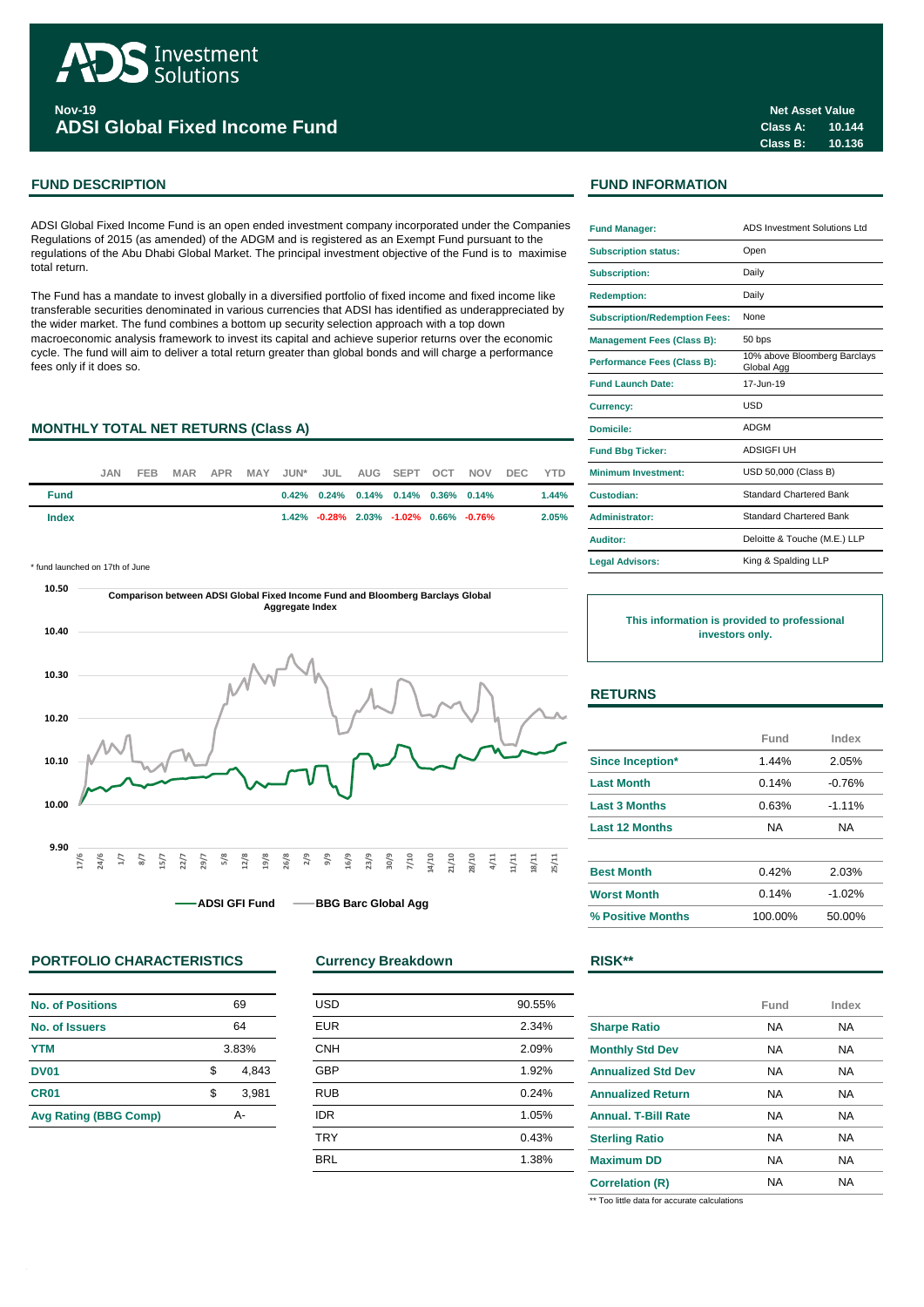

**Nov-19 ADSI Global Fixed Income Fund**

# **FUND DESCRIPTION FUND INFORMATION**

ADSI Global Fixed Income Fund is an open ended investment company incorporated under the Companies Regulations of 2015 (as amended) of the ADGM and is registered as an Exempt Fund pursuant to the regulations of the Abu Dhabi Global Market. The principal investment objective of the Fund is to maximise total return.

The Fund has a mandate to invest globally in a diversified portfolio of fixed income and fixed income like transferable securities denominated in various currencies that ADSI has identified as underappreciated by the wider market. The fund combines a bottom up security selection approach with a top down macroeconomic analysis framework to invest its capital and achieve superior returns over the economic cycle. The fund will aim to deliver a total return greater than global bonds and will charge a performance fees only if it does so.

# **MONTHLY TOTAL NET RETURNS (Class A)**

|             | JAN. | FEB. |  |  |  |                                                       | MAR APR MAY JUN* JUL AUG SEPT OCT NOV DEC YTD |          | <b>Minimum Investment:</b> |
|-------------|------|------|--|--|--|-------------------------------------------------------|-----------------------------------------------|----------|----------------------------|
| <b>Fund</b> |      |      |  |  |  | $0.42\%$ $0.24\%$ $0.14\%$ $0.14\%$ $0.36\%$ $0.14\%$ |                                               | $1.44\%$ | Custodian:                 |
| Index       |      |      |  |  |  | $1.42\%$ -0.28% 2.03% -1.02% 0.66% -0.76%             |                                               | 2.05%    | Administrator:             |

\* fund launched on 17th of June



# **PORTFOLIO CHARACTERISTICS Currency Breakdown RISK\*\***

| No. of Positions             | 69          |       |  |
|------------------------------|-------------|-------|--|
| No. of Issuers               | 64          |       |  |
| <b>YTM</b>                   | 3.83%       |       |  |
| <b>DV01</b>                  | 4,843<br>\$ |       |  |
| <b>CR01</b>                  | \$          | 3,981 |  |
| <b>Avg Rating (BBG Comp)</b> | Δ.          |       |  |

| <b>USD</b> | 90.55% |
|------------|--------|
| <b>EUR</b> | 2.34%  |
| <b>CNH</b> | 2.09%  |
| <b>GBP</b> | 1.92%  |
| <b>RUB</b> | 0.24%  |
| <b>IDR</b> | 1.05%  |
| <b>TRY</b> | 0.43%  |
| <b>BRL</b> | 1.38%  |
|            |        |

| <b>Fund Manager:</b>                 | ADS Investment Solutions Ltd               |
|--------------------------------------|--------------------------------------------|
| <b>Subscription status:</b>          | Open                                       |
| <b>Subscription:</b>                 | Daily                                      |
| <b>Redemption:</b>                   | Daily                                      |
| <b>Subscription/Redemption Fees:</b> | None                                       |
| <b>Management Fees (Class B):</b>    | 50 bps                                     |
| Performance Fees (Class B):          | 10% above Bloomberg Barclays<br>Global Agg |
| <b>Fund Launch Date:</b>             | 17-Jun-19                                  |
| <b>Currency:</b>                     | USD                                        |
| Domicile:                            | ADGM                                       |
| <b>Fund Bbg Ticker:</b>              | <b>ADSIGFI UH</b>                          |
| <b>Minimum Investment:</b>           | USD 50,000 (Class B)                       |
| Custodian:                           | <b>Standard Chartered Bank</b>             |
| <b>Administrator:</b>                | <b>Standard Chartered Bank</b>             |
| Auditor:                             | Deloitte & Touche (M.E.) LLP               |
| <b>Legal Advisors:</b>               | King & Spalding LLP                        |

**This information is provided to professional investors only.**

# **RETURNS**

|                         | Fund    | Index    |
|-------------------------|---------|----------|
| <b>Since Inception*</b> | 1.44%   | 2.05%    |
| <b>Last Month</b>       | 0.14%   | $-0.76%$ |
| <b>Last 3 Months</b>    | 0.63%   | $-1.11%$ |
| <b>Last 12 Months</b>   | NA      | NA       |
| <b>Best Month</b>       | 0.42%   | 2.03%    |
| <b>Worst Month</b>      | 0.14%   | $-1.02%$ |
| % Positive Months       | 100.00% | 50.00%   |

|                            | Fund | Index |
|----------------------------|------|-------|
| <b>Sharpe Ratio</b>        | NA   | NA    |
| <b>Monthly Std Dev</b>     | NA   | NA    |
| <b>Annualized Std Dev</b>  | NA   | NA    |
| <b>Annualized Return</b>   | NA   | NA    |
| <b>Annual, T-Bill Rate</b> | NA   | NA    |
| <b>Sterling Ratio</b>      | NA   | NA    |
| <b>Maximum DD</b>          | NA   | NA    |
| <b>Correlation (R)</b>     | NA   | NA    |

\*\* Too little data for accurate calculations